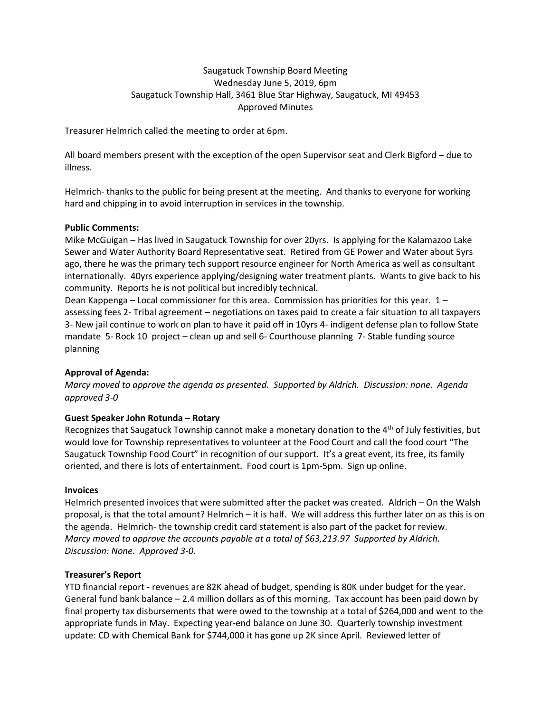# Saugatuck Township Board Meeting Wednesday June 5, 2019, 6pm Saugatuck Township Hall, 3461 Blue Star Highway, Saugatuck, MI 49453 Approved Minutes

Treasurer Helmrich called the meeting to order at 6pm.

All board members present with the exception of the open Supervisor seat and Clerk Bigford – due to illness.

Helmrich- thanks to the public for being present at the meeting. And thanks to everyone for working hard and chipping in to avoid interruption in services in the township.

### **Public Comments:**

Mike McGuigan – Has lived in Saugatuck Township for over 20yrs. Is applying for the Kalamazoo Lake Sewer and Water Authority Board Representative seat. Retired from GE Power and Water about 5yrs ago, there he was the primary tech support resource engineer for North America as well as consultant internationally. 40yrs experience applying/designing water treatment plants. Wants to give back to his community. Reports he is not political but incredibly technical.

Dean Kappenga – Local commissioner for this area. Commission has priorities for this year. 1 – assessing fees 2- Tribal agreement – negotiations on taxes paid to create a fair situation to all taxpayers 3- New jail continue to work on plan to have it paid off in 10yrs 4- indigent defense plan to follow State mandate 5- Rock 10 project – clean up and sell 6- Courthouse planning 7- Stable funding source planning

## **Approval of Agenda:**

*Marcy moved to approve the agenda as presented. Supported by Aldrich. Discussion: none. Agenda approved 3-0*

## **Guest Speaker John Rotunda – Rotary**

Recognizes that Saugatuck Township cannot make a monetary donation to the  $4<sup>th</sup>$  of July festivities, but would love for Township representatives to volunteer at the Food Court and call the food court "The Saugatuck Township Food Court" in recognition of our support. It's a great event, its free, its family oriented, and there is lots of entertainment. Food court is 1pm-5pm. Sign up online.

#### **Invoices**

Helmrich presented invoices that were submitted after the packet was created. Aldrich – On the Walsh proposal, is that the total amount? Helmrich – it is half. We will address this further later on as this is on the agenda. Helmrich- the township credit card statement is also part of the packet for review. *Marcy moved to approve the accounts payable at a total of \$63,213.97 Supported by Aldrich. Discussion: None. Approved 3-0.*

## **Treasurer's Report**

YTD financial report - revenues are 82K ahead of budget, spending is 80K under budget for the year. General fund bank balance – 2.4 million dollars as of this morning. Tax account has been paid down by final property tax disbursements that were owed to the township at a total of \$264,000 and went to the appropriate funds in May. Expecting year-end balance on June 30. Quarterly township investment update: CD with Chemical Bank for \$744,000 it has gone up 2K since April. Reviewed letter of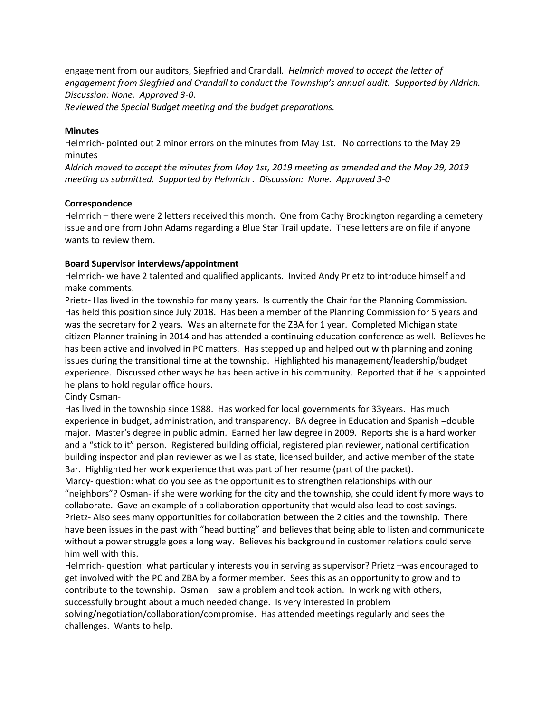engagement from our auditors, Siegfried and Crandall. *Helmrich moved to accept the letter of engagement from Siegfried and Crandall to conduct the Township's annual audit. Supported by Aldrich. Discussion: None. Approved 3-0.* 

*Reviewed the Special Budget meeting and the budget preparations.* 

## **Minutes**

Helmrich- pointed out 2 minor errors on the minutes from May 1st. No corrections to the May 29 minutes

*Aldrich moved to accept the minutes from May 1st, 2019 meeting as amended and the May 29, 2019 meeting as submitted. Supported by Helmrich . Discussion: None. Approved 3-0*

### **Correspondence**

Helmrich – there were 2 letters received this month. One from Cathy Brockington regarding a cemetery issue and one from John Adams regarding a Blue Star Trail update. These letters are on file if anyone wants to review them.

## **Board Supervisor interviews/appointment**

Helmrich- we have 2 talented and qualified applicants. Invited Andy Prietz to introduce himself and make comments.

Prietz- Has lived in the township for many years. Is currently the Chair for the Planning Commission. Has held this position since July 2018. Has been a member of the Planning Commission for 5 years and was the secretary for 2 years. Was an alternate for the ZBA for 1 year. Completed Michigan state citizen Planner training in 2014 and has attended a continuing education conference as well. Believes he has been active and involved in PC matters. Has stepped up and helped out with planning and zoning issues during the transitional time at the township. Highlighted his management/leadership/budget experience. Discussed other ways he has been active in his community. Reported that if he is appointed he plans to hold regular office hours.

## Cindy Osman-

Has lived in the township since 1988. Has worked for local governments for 33years. Has much experience in budget, administration, and transparency. BA degree in Education and Spanish –double major. Master's degree in public admin. Earned her law degree in 2009. Reports she is a hard worker and a "stick to it" person. Registered building official, registered plan reviewer, national certification building inspector and plan reviewer as well as state, licensed builder, and active member of the state Bar. Highlighted her work experience that was part of her resume (part of the packet).

Marcy- question: what do you see as the opportunities to strengthen relationships with our "neighbors"? Osman- if she were working for the city and the township, she could identify more ways to collaborate. Gave an example of a collaboration opportunity that would also lead to cost savings. Prietz- Also sees many opportunities for collaboration between the 2 cities and the township. There have been issues in the past with "head butting" and believes that being able to listen and communicate without a power struggle goes a long way. Believes his background in customer relations could serve him well with this.

Helmrich- question: what particularly interests you in serving as supervisor? Prietz –was encouraged to get involved with the PC and ZBA by a former member. Sees this as an opportunity to grow and to contribute to the township. Osman – saw a problem and took action. In working with others, successfully brought about a much needed change. Is very interested in problem solving/negotiation/collaboration/compromise. Has attended meetings regularly and sees the challenges. Wants to help.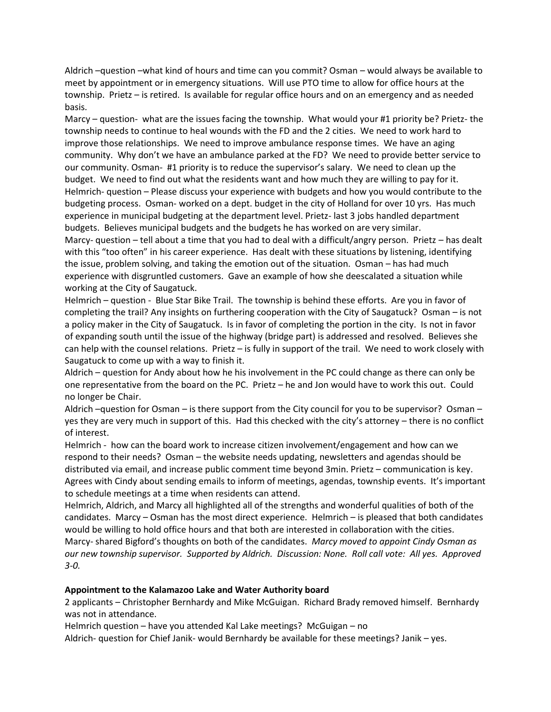Aldrich –question –what kind of hours and time can you commit? Osman – would always be available to meet by appointment or in emergency situations. Will use PTO time to allow for office hours at the township. Prietz – is retired. Is available for regular office hours and on an emergency and as needed basis.

Marcy – question- what are the issues facing the township. What would your #1 priority be? Prietz- the township needs to continue to heal wounds with the FD and the 2 cities. We need to work hard to improve those relationships. We need to improve ambulance response times. We have an aging community. Why don't we have an ambulance parked at the FD? We need to provide better service to our community. Osman- #1 priority is to reduce the supervisor's salary. We need to clean up the budget. We need to find out what the residents want and how much they are willing to pay for it. Helmrich- question – Please discuss your experience with budgets and how you would contribute to the budgeting process. Osman- worked on a dept. budget in the city of Holland for over 10 yrs. Has much experience in municipal budgeting at the department level. Prietz- last 3 jobs handled department budgets. Believes municipal budgets and the budgets he has worked on are very similar.

Marcy- question – tell about a time that you had to deal with a difficult/angry person. Prietz – has dealt with this "too often" in his career experience. Has dealt with these situations by listening, identifying the issue, problem solving, and taking the emotion out of the situation. Osman – has had much experience with disgruntled customers. Gave an example of how she deescalated a situation while working at the City of Saugatuck.

Helmrich – question - Blue Star Bike Trail. The township is behind these efforts. Are you in favor of completing the trail? Any insights on furthering cooperation with the City of Saugatuck? Osman – is not a policy maker in the City of Saugatuck. Is in favor of completing the portion in the city. Is not in favor of expanding south until the issue of the highway (bridge part) is addressed and resolved. Believes she can help with the counsel relations. Prietz – is fully in support of the trail. We need to work closely with Saugatuck to come up with a way to finish it.

Aldrich – question for Andy about how he his involvement in the PC could change as there can only be one representative from the board on the PC. Prietz – he and Jon would have to work this out. Could no longer be Chair.

Aldrich –question for Osman – is there support from the City council for you to be supervisor? Osman – yes they are very much in support of this. Had this checked with the city's attorney – there is no conflict of interest.

Helmrich - how can the board work to increase citizen involvement/engagement and how can we respond to their needs? Osman – the website needs updating, newsletters and agendas should be distributed via email, and increase public comment time beyond 3min. Prietz – communication is key. Agrees with Cindy about sending emails to inform of meetings, agendas, township events. It's important to schedule meetings at a time when residents can attend.

Helmrich, Aldrich, and Marcy all highlighted all of the strengths and wonderful qualities of both of the candidates. Marcy – Osman has the most direct experience. Helmrich – is pleased that both candidates would be willing to hold office hours and that both are interested in collaboration with the cities. Marcy- shared Bigford's thoughts on both of the candidates. *Marcy moved to appoint Cindy Osman as our new township supervisor. Supported by Aldrich. Discussion: None. Roll call vote: All yes. Approved 3-0.*

## **Appointment to the Kalamazoo Lake and Water Authority board**

2 applicants – Christopher Bernhardy and Mike McGuigan. Richard Brady removed himself. Bernhardy was not in attendance.

Helmrich question – have you attended Kal Lake meetings? McGuigan – no

Aldrich- question for Chief Janik- would Bernhardy be available for these meetings? Janik – yes.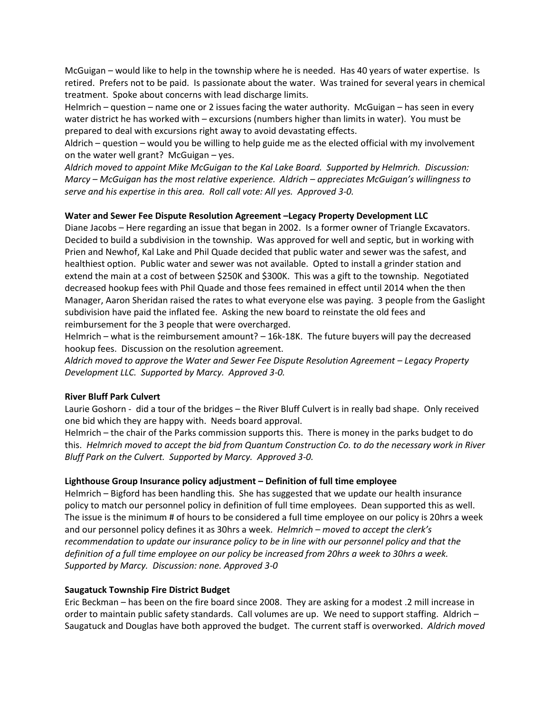McGuigan – would like to help in the township where he is needed. Has 40 years of water expertise. Is retired. Prefers not to be paid. Is passionate about the water. Was trained for several years in chemical treatment. Spoke about concerns with lead discharge limits.

Helmrich – question – name one or 2 issues facing the water authority. McGuigan – has seen in every water district he has worked with – excursions (numbers higher than limits in water). You must be prepared to deal with excursions right away to avoid devastating effects.

Aldrich – question – would you be willing to help guide me as the elected official with my involvement on the water well grant? McGuigan – yes.

*Aldrich moved to appoint Mike McGuigan to the Kal Lake Board. Supported by Helmrich. Discussion: Marcy – McGuigan has the most relative experience. Aldrich – appreciates McGuigan's willingness to serve and his expertise in this area. Roll call vote: All yes. Approved 3-0.*

## **Water and Sewer Fee Dispute Resolution Agreement –Legacy Property Development LLC**

Diane Jacobs – Here regarding an issue that began in 2002. Is a former owner of Triangle Excavators. Decided to build a subdivision in the township. Was approved for well and septic, but in working with Prien and Newhof, Kal Lake and Phil Quade decided that public water and sewer was the safest, and healthiest option. Public water and sewer was not available. Opted to install a grinder station and extend the main at a cost of between \$250K and \$300K. This was a gift to the township. Negotiated decreased hookup fees with Phil Quade and those fees remained in effect until 2014 when the then Manager, Aaron Sheridan raised the rates to what everyone else was paying. 3 people from the Gaslight subdivision have paid the inflated fee. Asking the new board to reinstate the old fees and reimbursement for the 3 people that were overcharged.

Helmrich – what is the reimbursement amount? – 16k-18K. The future buyers will pay the decreased hookup fees. Discussion on the resolution agreement.

*Aldrich moved to approve the Water and Sewer Fee Dispute Resolution Agreement – Legacy Property Development LLC. Supported by Marcy. Approved 3-0.* 

## **River Bluff Park Culvert**

Laurie Goshorn - did a tour of the bridges – the River Bluff Culvert is in really bad shape. Only received one bid which they are happy with. Needs board approval.

Helmrich – the chair of the Parks commission supports this. There is money in the parks budget to do this. *Helmrich moved to accept the bid from Quantum Construction Co. to do the necessary work in River Bluff Park on the Culvert. Supported by Marcy. Approved 3-0.*

## **Lighthouse Group Insurance policy adjustment – Definition of full time employee**

Helmrich – Bigford has been handling this. She has suggested that we update our health insurance policy to match our personnel policy in definition of full time employees. Dean supported this as well. The issue is the minimum # of hours to be considered a full time employee on our policy is 20hrs a week and our personnel policy defines it as 30hrs a week. *Helmrich – moved to accept the clerk's recommendation to update our insurance policy to be in line with our personnel policy and that the definition of a full time employee on our policy be increased from 20hrs a week to 30hrs a week. Supported by Marcy. Discussion: none. Approved 3-0*

## **Saugatuck Township Fire District Budget**

Eric Beckman – has been on the fire board since 2008. They are asking for a modest .2 mill increase in order to maintain public safety standards. Call volumes are up. We need to support staffing. Aldrich – Saugatuck and Douglas have both approved the budget. The current staff is overworked. *Aldrich moved*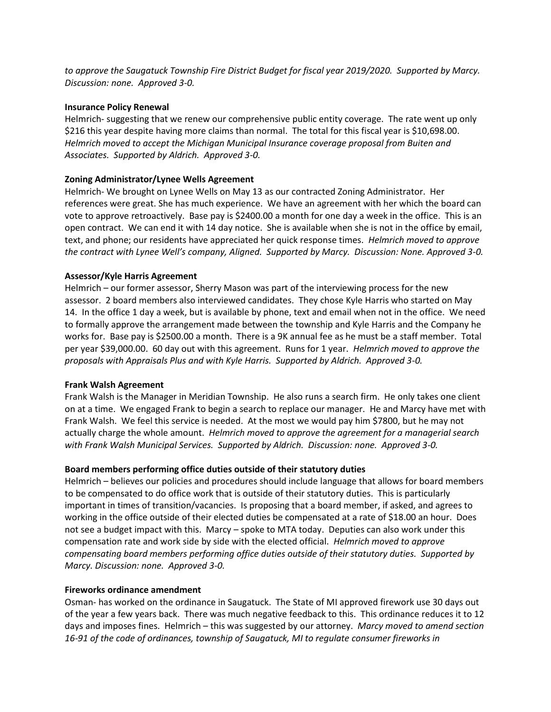*to approve the Saugatuck Township Fire District Budget for fiscal year 2019/2020. Supported by Marcy. Discussion: none. Approved 3-0.*

### **Insurance Policy Renewal**

Helmrich- suggesting that we renew our comprehensive public entity coverage. The rate went up only \$216 this year despite having more claims than normal. The total for this fiscal year is \$10,698.00. *Helmrich moved to accept the Michigan Municipal Insurance coverage proposal from Buiten and Associates. Supported by Aldrich. Approved 3-0.*

## **Zoning Administrator/Lynee Wells Agreement**

Helmrich- We brought on Lynee Wells on May 13 as our contracted Zoning Administrator. Her references were great. She has much experience. We have an agreement with her which the board can vote to approve retroactively. Base pay is \$2400.00 a month for one day a week in the office. This is an open contract. We can end it with 14 day notice. She is available when she is not in the office by email, text, and phone; our residents have appreciated her quick response times. *Helmrich moved to approve the contract with Lynee Well's company, Aligned. Supported by Marcy. Discussion: None. Approved 3-0.* 

### **Assessor/Kyle Harris Agreement**

Helmrich – our former assessor, Sherry Mason was part of the interviewing process for the new assessor. 2 board members also interviewed candidates. They chose Kyle Harris who started on May 14. In the office 1 day a week, but is available by phone, text and email when not in the office. We need to formally approve the arrangement made between the township and Kyle Harris and the Company he works for. Base pay is \$2500.00 a month. There is a 9K annual fee as he must be a staff member. Total per year \$39,000.00. 60 day out with this agreement. Runs for 1 year. *Helmrich moved to approve the proposals with Appraisals Plus and with Kyle Harris. Supported by Aldrich. Approved 3-0.*

## **Frank Walsh Agreement**

Frank Walsh is the Manager in Meridian Township. He also runs a search firm. He only takes one client on at a time. We engaged Frank to begin a search to replace our manager. He and Marcy have met with Frank Walsh. We feel this service is needed. At the most we would pay him \$7800, but he may not actually charge the whole amount. *Helmrich moved to approve the agreement for a managerial search with Frank Walsh Municipal Services. Supported by Aldrich. Discussion: none. Approved 3-0.* 

## **Board members performing office duties outside of their statutory duties**

Helmrich – believes our policies and procedures should include language that allows for board members to be compensated to do office work that is outside of their statutory duties. This is particularly important in times of transition/vacancies. Is proposing that a board member, if asked, and agrees to working in the office outside of their elected duties be compensated at a rate of \$18.00 an hour. Does not see a budget impact with this. Marcy – spoke to MTA today. Deputies can also work under this compensation rate and work side by side with the elected official. *Helmrich moved to approve compensating board members performing office duties outside of their statutory duties. Supported by Marcy. Discussion: none. Approved 3-0.*

#### **Fireworks ordinance amendment**

Osman- has worked on the ordinance in Saugatuck. The State of MI approved firework use 30 days out of the year a few years back. There was much negative feedback to this. This ordinance reduces it to 12 days and imposes fines. Helmrich – this was suggested by our attorney. *Marcy moved to amend section 16-91 of the code of ordinances, township of Saugatuck, MI to regulate consumer fireworks in*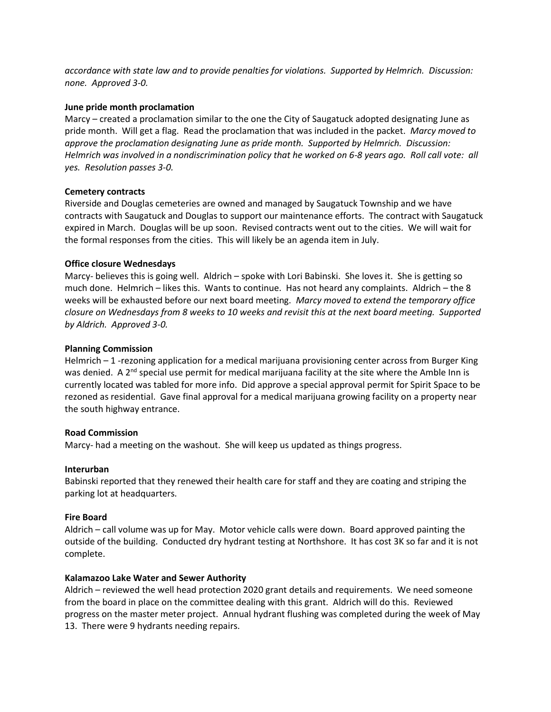*accordance with state law and to provide penalties for violations. Supported by Helmrich. Discussion: none. Approved 3-0.* 

#### **June pride month proclamation**

Marcy – created a proclamation similar to the one the City of Saugatuck adopted designating June as pride month. Will get a flag. Read the proclamation that was included in the packet. *Marcy moved to approve the proclamation designating June as pride month. Supported by Helmrich. Discussion: Helmrich was involved in a nondiscrimination policy that he worked on 6-8 years ago. Roll call vote: all yes. Resolution passes 3-0.*

### **Cemetery contracts**

Riverside and Douglas cemeteries are owned and managed by Saugatuck Township and we have contracts with Saugatuck and Douglas to support our maintenance efforts. The contract with Saugatuck expired in March. Douglas will be up soon. Revised contracts went out to the cities. We will wait for the formal responses from the cities. This will likely be an agenda item in July.

### **Office closure Wednesdays**

Marcy- believes this is going well. Aldrich – spoke with Lori Babinski. She loves it. She is getting so much done. Helmrich – likes this. Wants to continue. Has not heard any complaints. Aldrich – the 8 weeks will be exhausted before our next board meeting. *Marcy moved to extend the temporary office closure on Wednesdays from 8 weeks to 10 weeks and revisit this at the next board meeting. Supported by Aldrich. Approved 3-0.* 

### **Planning Commission**

Helmrich – 1 -rezoning application for a medical marijuana provisioning center across from Burger King was denied. A  $2<sup>nd</sup>$  special use permit for medical marijuana facility at the site where the Amble Inn is currently located was tabled for more info. Did approve a special approval permit for Spirit Space to be rezoned as residential. Gave final approval for a medical marijuana growing facility on a property near the south highway entrance.

#### **Road Commission**

Marcy- had a meeting on the washout. She will keep us updated as things progress.

#### **Interurban**

Babinski reported that they renewed their health care for staff and they are coating and striping the parking lot at headquarters.

## **Fire Board**

Aldrich – call volume was up for May. Motor vehicle calls were down. Board approved painting the outside of the building. Conducted dry hydrant testing at Northshore. It has cost 3K so far and it is not complete.

## **Kalamazoo Lake Water and Sewer Authority**

Aldrich – reviewed the well head protection 2020 grant details and requirements. We need someone from the board in place on the committee dealing with this grant. Aldrich will do this. Reviewed progress on the master meter project. Annual hydrant flushing was completed during the week of May 13. There were 9 hydrants needing repairs.